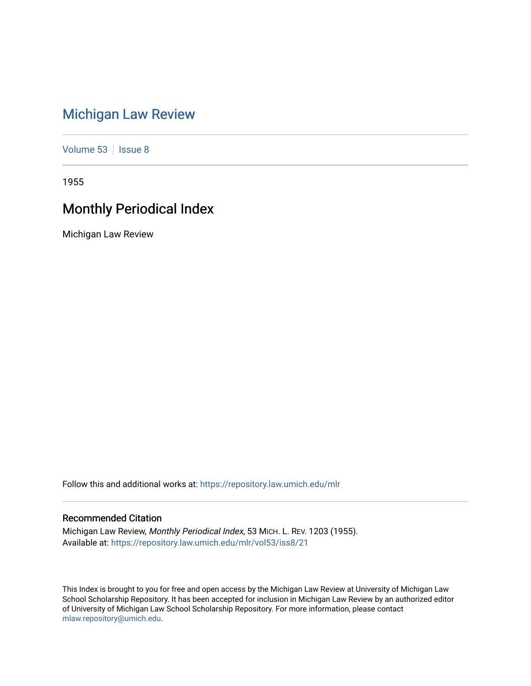# [Michigan Law Review](https://repository.law.umich.edu/mlr)

[Volume 53](https://repository.law.umich.edu/mlr/vol53) | [Issue 8](https://repository.law.umich.edu/mlr/vol53/iss8)

1955

# Monthly Periodical Index

Michigan Law Review

Follow this and additional works at: [https://repository.law.umich.edu/mlr](https://repository.law.umich.edu/mlr?utm_source=repository.law.umich.edu%2Fmlr%2Fvol53%2Fiss8%2F21&utm_medium=PDF&utm_campaign=PDFCoverPages) 

# Recommended Citation

Michigan Law Review, Monthly Periodical Index, 53 MICH. L. REV. 1203 (1955). Available at: [https://repository.law.umich.edu/mlr/vol53/iss8/21](https://repository.law.umich.edu/mlr/vol53/iss8/21?utm_source=repository.law.umich.edu%2Fmlr%2Fvol53%2Fiss8%2F21&utm_medium=PDF&utm_campaign=PDFCoverPages) 

This Index is brought to you for free and open access by the Michigan Law Review at University of Michigan Law School Scholarship Repository. It has been accepted for inclusion in Michigan Law Review by an authorized editor of University of Michigan Law School Scholarship Repository. For more information, please contact [mlaw.repository@umich.edu.](mailto:mlaw.repository@umich.edu)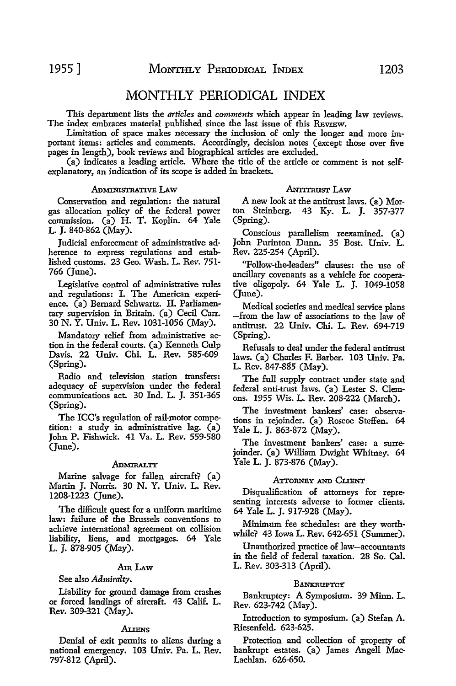# MONTHLY PERIODICAL INDEX

This department lists the *articles* and *comments* which appear in leading law reviews. The index embraces material published since the last issue of this REVIEW.

Limitation of space makes necessary the inclusion of only the longer and more important items: articles and comments. Accordingly, decision notes (except those over five pages in length), book reviews and biographical articles are excluded.

(a) indicates a leading article. Where the title of the article or comment is not selfexplanatory, an indication of its scope is added in brackets.

#### ADMINISTRATIVE LAw

Conservation and regulation: the natural gas allocation policy of the federal power commission. (a) H. T. Koplin. 64 Yale L. J. 840-862 (May).

Judicial enforcement of administrative adherence to express regulations and established customs. 23 Geo. Wash. L. Rev. 751- 766 (June).

Legislative control of administrative rules and regulations: I. The American experience. (a) Bernard Schwartz. II. Parliamentary supervision in Britain. (a) Cecil Carr. 30 N. Y. Univ. L. Rev. 1031-1056 (May).

Mandatory relief from administrative action in the federal courts. (a) Kenneth Culp Davis. 22 Univ. Chi. L. Rev. 585-609 (Spring).

Radio and television station transfers: adequacy of supervision under the federal communications act. 30 Ind. L. J. 351-365 (Spring).

The ICC's regulation of rail-motor competition: a study in administrative lag. (a) John P. Fishwick. 41 Va. L. Rev. 559-580 (June).

#### ADMIRALTY

Marine salvage for fallen aircraft? (a) Martin J. Norris. 30 N. Y. Univ. L. Rev. 1208-1223 (June).

The difficult quest for a uniform maritime law: failure of the Brussels conventions to achieve international agreement on collision liability, liens, and mortgages. 64 Yale L. J. 878-905 (May).

# AmLAw

# See also *Admiralty.*

Liability for ground damage from crashes or forced landings of aircraft. 43 Calif. L. Rev. 309-321 (May).

#### ALIENS

Denial of exit permits to aliens during a national emergency. 103 Univ. Pa. L. Rev. 797-812 (April).

#### **ANTITRUST LAW**

A new look at the antitrust laws. (a) Morton Steinberg. 43 Ky. L. J. 357-377 (Spring).

Conscious parallelism reexamined. (a) John Purinton Dunn. 35 Bost. Univ. L. Rev. 225-254 (April).

"Follow-the-leaders" clauses: the use of ancillary covenants as a vehicle for cooperative oligopoly. 64 Yale L. J. 1049-1058 (June).

Medical societies and medical service plans -from the law of associations to the law of antitrust. 22 Univ. Chi. L. Rev. 694-719 (Spring).

Refusals to deal under the federal antitrust laws. (a) Charles F. Barber. 103 Univ. Pa. L. Rev. 847-885 (May).

The full supply contract under state and federal anti-trust laws. (a) Lester S. Clemons. 1955 Wis. L. Rev. 208-222 (March).

The investment bankers' case: observations in rejoinder. (a) Roscoe Steffen. 64 Yale L. J. 863-872 (May).

The investment bankers' case: a surrejoinder. (a) William Dwight Whitney. 64 Yale L. J. 873-876 (May).

#### ATTORNEY AND CLIENT

Disqualification of attorneys for representing interests adverse to former clients. 64 Yale L. J. 917-928 (May).

Minimum fee schedules: are they worthwhile? 43 Iowa L. Rev. 642-651 (Summer).

Unauthorized practice of law-accountants in the field of federal taxation. 28 So. Cal. L. Rev. 303-313 (April).

#### **BANKRUPTCY**

Bankruptcy: A Symposium. 39 Minn. L. Rev. 623-742 (May).

Introduction to symposium. (a) Stefan A. Riesenfeld. 623-625.

Protection and collection of property of bankrupt estates. (a) James Angell Mac-Lachlan. 626-650.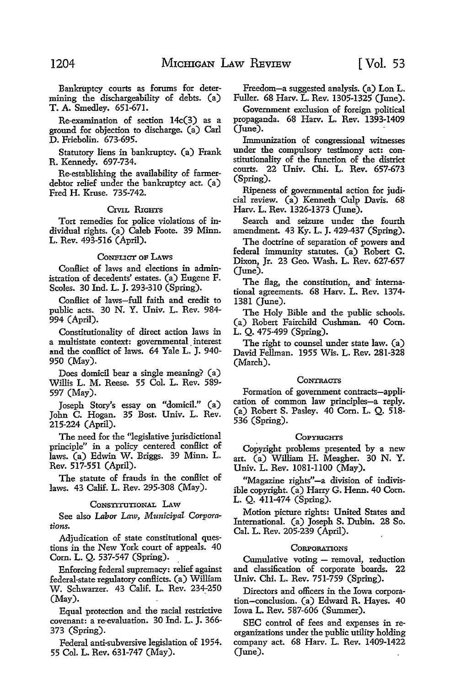Bankruptcy courts as forums for determining the dischargeability of debts. (a) T. A. Smedley. 651-671.

Re-examination of section 14c(3) as a ground for objection to discharge. (a) Carl D. Friebolin. 673-695.

Statutory liens in bankruptcy. (a) Frank R. Kennedy. 697-734.

Re-establishing the availability of farmerdebtor relief under the bankruptcy act. (a) Fred H. Kruse. 735-742.

# CIVIL RIGHTS

Tort remedies for police violations of individual rights. (a) Caleb Foote. 39 Minn. L. Rev. 493-516 (April).

#### CoNFLIGr OF LAWS

Conflict of laws and elections in administration of decedents' estates. (a) Eugene F. Scoles. 30 Ind. L. J. 293-310 (Spring).

Conflict of laws-full faith and credit to public acts. 30 N. Y. Univ. L. Rev. 984- 994 (April).

Constitutionality of direct action laws in a multistate context: governmental interest **and** the conflict of laws. 64 Yale L. J. 940- 950 (May).

Does domicil bear a single meaning? (a) Willis L. M. Reese. 55 Col. L. Rev. 589- 597 (May).

Joseph Story's essay on "domicil." (a) John C. Hogan. 35 Bost. Univ. L. Rev. 215-224 (April).

The need for the "legislative jurisdictional principle" in a policy centered conflict of laws. (a) Edwin W. Briggs. 39 Minn. L. Rev. 517-551 (April).

The statute of frauds in the conHict of laws. 43 Calif. L. Rev. 295-308 (May).

#### CONSTITUTIONAL LAW

See also *Labor Laiv, Mimicipal Corporations.* 

Adjudication of state constitutional questions in the New York court of appeals. 40 Corn. L. Q. 537-547 (Spring).

Enforcing federal supremacy: relief against federal-state regulatory conflicts. (a) William W. Schwarzer. 43 Calif. L. Rev. 234-250  $(Mav)$ .

Equal protection and the racial restrictive covenant: a re-evaluation. 30 Ind. L. J. 366- 373 (Spring).

Federal anti-subversive legislation of 1954. 55 Col. L. Rev. 631-747 (May).

Freedom-a suggested analysis. (a) Lon L. Fuller. 68 Harv. L. Rev. 1305-1325 (June).

Government exclusion of foreign political propaganda. 68 Harv. L. Rev. 1393-1409 (June).

Immunization of congressional witnesses under the compulsory testimony act: constitutionality of the function of the district courts. 22 Univ. Chi. L. Rev. 657-673 (Spring).

Ripeness of governmental action for judicial review. (a) Kenneth Culp Davis. 68 Harv. L. Rev. 1326-1373 (June).

Search and seizure under the fourth amendment. 43 Ky. L. J. 429-437 (Spring).

The doctrine of separation of powers and federal immunity statutes. (a) Robert G. Dixon, Jr. 23 Geo. Wash. L. Rev. 627-657 (June).

The flag, the constitution, and international agreements. 68 Harv. L. Rev. 1374- 1381 (June).

The Holy Bible and the public schools. (a) Robert Fairchild Cushman. 40 Com. L. Q. 475-499 (Spring).

The right to counsel under state law. (a) David Fellman. 1955 Wis. L. Rev. 281-328 (March).

# **CONTRACTS**

Formation of government contracts-application of common law principles-a reply. (a) Robert S. Pasley. 40 Com. L. Q. 518- 536 (Spring).

#### COPYRIGHTS

Copyright problems presented by a new art. (a) William H. Meagher. 30 N. Y. Univ. L. Rev. 1081-1100 (May).

"Magazine rights"-a division of indivisible copyright. (a) Harry G. Henn. 40 Com. L. Q. 411-474 (Spring).

Motion picture rights: United States and International. (a) Joseph S. Dubin. 28 So. Cal. L. Rev. 205-239 (April).

#### **CORPORATIONS**

Cumulative voting - removal, reduction and classification of corporate boards. 22 Univ. Chi. L. Rev. 751-759 (Spring).

Directors and officers in the Iowa corporation-conclusion. (a) Edward R. Hayes. 40 Iowa L. Rev. 587-606 (Summer).

SEC control of fees and expenses in reorganizations under the public utility holding company act. 68 Harv. L. Rev. 1409-1422 (June).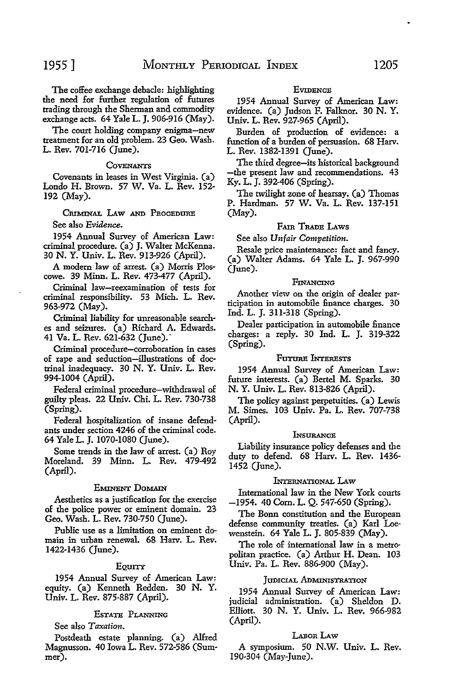The coffee exchange debacle: highlighting the need for further regulation of futures trading through the Sherman and commodity exchange acts. 64 Yale L. J. 906-916 (May).

The court holding company enigma-new treatment for an old problem. 23 Geo. Wash. L. Rev. 701-716 (June).

#### **COVENANTS**

Covenants in leases in West Virginia. (a) Londo H. Brown. 57 W. Va. L. Rev. 152- 192 (May).

CRIMINAL LAW AND PROCEDURE

See also *Evidence.* 

1954 Annual Survey of American Law: criminal procedure. (a) J. Walter McKenna. 30 N. Y. Univ. L. Rev. 913·926 (April).

A modem law of arrest. (a) Morris Ploscowe. 39 Minn. L. Rev. 473-477 (April).

Criminal law-reexamination of tests for criminal responsibility. 53 Mich. L. Rev. 963-972 (May).

Criminal liability for unreasonable searches and seizures. (a) Richard A. Edwards. 41 Va. L. Rev. 621-632 (June).·

Criminal procedure-corroboration in cases of rape and seduction-illustrations of doctrinal inadequacy. 30 N. Y. Univ. L. Rev. 994-1004 (April).

Federal criminal procedure-withdrawal of guilty pleas. 22 Univ. Chi. L. Rev. 730-738 (Spring).

Federal hospitalization of insane defendants under section 4246 of the criminal code. 64 Yale L. J. 1070-1080 (June).

Some trends in the law of arrest. (a) Roy Moreland. 39 Minn. L. Rev. 479-492 (April).

# EMINENT DoMAIN

Aesthetics as a justification for the exercise of the police power or eminent domain. 23 Geo. Wash. L. Rev. 730-750 (June).

Public use as a limitation on eminent domain in urban renewal. 68 Harv. L. Rev. 1422-1436 (June).

#### EQUITY

1954 Annual Survey of American Law: equity. (a) Kenneth Redden. 30 N. Y. Univ. L. Rev. 875-887 (April).

#### EsTATE PLANNING

See also *Taxation.* 

Postdeath estate planning. (a) Alfred Magnusson. 40 Iowa L. Rev. 572-586 (Summer).

#### **EVIDENCE**

1954 Annual Survey of American Law: evidence. (a) Judson F. Falknor. 30 N. Y. Univ. L. Rev. 927-965 (April).

Burden of production of evidence: a function of a burden of persuasion. 68 Harv. L. Rev. 1382-1391 (June).

The third degree-its historical background the present law and recommendations. 43 Ky. L. J. 392-406 (Spring).

The twilight zone of hearsay. (a) Thomas P. Hardman. 57 W. Va. L. Rev. 137-151 (May).

#### FAm TRADE LAws

See also *Unfair Competition.* 

Resale price maintenance: fact and fancy. (a) Walter Adams. 64 Yale L. J. 967-990 (June).

#### FINANCING

Another view on the origin of dealer participation in automobile finance charges. 30 Ind. L. J. 311-318 (Spring).

Dealer participation in automobile finance charges: a reply. 30 Ind. L. J. 319-322 (Spring).

#### FuTURE INTERESTS

1954 Annual Survey of American Law: future interests. (a) Bertel M. Sparks. 30 N. Y. Univ. L. Rev. 813-826 (April).

The policy against perpetuities. (a) Lewis M. Simes. 103 Univ. Pa. L. Rev. 707-738 (April).

#### **INSURANCE**

Liability insurance policy defenses and the duty to defend. 68 Harv. L. Rev. 1436- 1452 (June).

# INTERNATIONAL I.Aw

International law in the New York courts -1954. 40 Com. L. Q. 547-650 (Spring).

The Bonn constitution and the European defense community treaties. (a) Karl Loewenstein. 64 Yale L. J. 805-839 (May).

The role of international law in a metropolitan practice. (a) Arthur H. Dean. 103 Univ. Pa. L. Rev. 886-900 (May).

#### JUDICIAL ADMINISTRATION

1954 Annual Survey of American Law: judicial administration. (a) Sheldon D. Elliott. 30 N. Y. Univ. L. Rev. 966-982 (April).

#### LABOR LAW

A symposium. 50 N.W. Univ. L. Rev. 190-304 (May-June).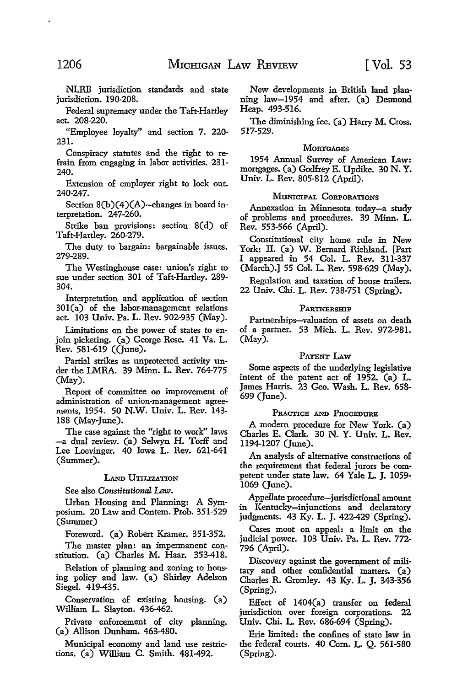NLRB jurisdiction standards and state jurisdiction. 190-208.

Federal supremacy under the Taft-Hartley act. 208-220.

"Employee loyalty'' and section 7. 220- 231.

Conspiracy statutes and the right to refrain from engaging in labor activities. 231- 240.

Extension of employer right to lock out. 240-247.

Section 8(b)(4)(A)-changes in board interpretation. 247-260.

Strike ban provisions: section 8(d) of Taft-Hartley. 260-279.

The duty to bargain: bargainable issues. 279-289.

The Westinghouse case: union's right to sue under section 301 of Taft-Hartley. 289- 304.

Interpretation and application of section 30l(a) of the labor-management relations act. 103 Univ. Pa. L. Rev. 902-935 (May).

Limitations on the power of states to enjoin picketing. (a) George Rose. 41 Va. L. Rev. 581-619 ((June).

Partial strikes as unprotected activity under the LMRA. 39 Minn. L. Rev. 764-775 (May).

Report of committee on improvement of administration of union-management agreements, 1954. 50 N.W. Univ. L. Rev. 143- 188 (May-June).

The case against the "right to work" laws -a dual review. (a) Selwyn H. Torff and Lee Loevinger. 40 Iowa L. Rev. 621-641 (Summer).

# LAND UTILIZATION

See also *Constitutional Law.* 

Urban Housing and Planning: A Symposium. 20 Law and Contem. Prob. 351-529 (Summer)

Foreword. (a) Robert Kramer. 351-352.

The master plan: an impermanent constitution. (a) Charles M. Haar. 353-418.

Relation of planning and zoning to housing policy and law. (a) Shirley Adelson Siegel. 419-435.

Conservation of existing housing. (a) William L. Slayton. 436-462.

Private enforcement of city planning. (a) Allison Dunham. 463-480.

Municipal economy and land use restrictions. (a) William C. Smith. 481-492.

New developments in British land planning law-1954 and after. (a) Desmond Heap. 493-516.

The diminishing fee. (a) Harry M. Cross. 517-529.

# **MORTGAGES**

1954 Annual Survey of American Law: mortgages. (a) Godfrey E. Updike. 30 N. Y. Univ. L. Rev. 805-812 (April).

### MUNICIPAL CORPORATIONS

Annexation in Minnesota today-a study of problems and procedures. 39 Minn. L. Rev. 553-566 (April).

Constitutional city home rule in New York: II. (a) W. Bernard Richland. [Part I appeared in 54 Col. L. Rev. 311-337 (March).] 55 Col. L. Rev. 598-629 (May).

Regulation and taxation of house trailers. 22 Univ. Chi. L. Rev. 738-751 (Spring).

### PARTNERSHIP

Partnerships-valuation of assets on death of a partner. 53 Mich. L. Rev. 972-981. (May).

# PATENT LAW

Some aspects of the underlying legislative intent of the patent act of 1952. (a) L. James Harris. 23 Geo. Wash. L. Rev. 658- 699 (June).

#### PRACTICE AND PROCEDURE

A modern procedure for New York. (a) Charles E. Clark. 30 N. Y. Univ. L. Rev. 1194-1207 (June).

An analysis of alternative constructions of the requirement that federal jurors be competent under state law. 64 Yale L. J. 1059- 1069 (June).

Appellate procedure-jurisdictional amount in Kentucky-injunctions and declaratory judgments. 43 Ky. L. J. 422-429 (Spring).

Cases moot on appeal: a limit on the judicial power. 103 Univ. Pa. L. Rev. 772- 796 (April).

Discovery against the government of military and other confidential matters. (a) Charles R. Gromley. 43 Ky. L. J. 343-356 (Spring).

Effect of 1404(a) transfer on federal jurisdiction over foreign corporations. 22 Univ. Chi. L. Rev. 686-694 (Spring).

Erie limited: the confines of state law in the federal courts. 40 Com. L. Q. 561-580 (Spring).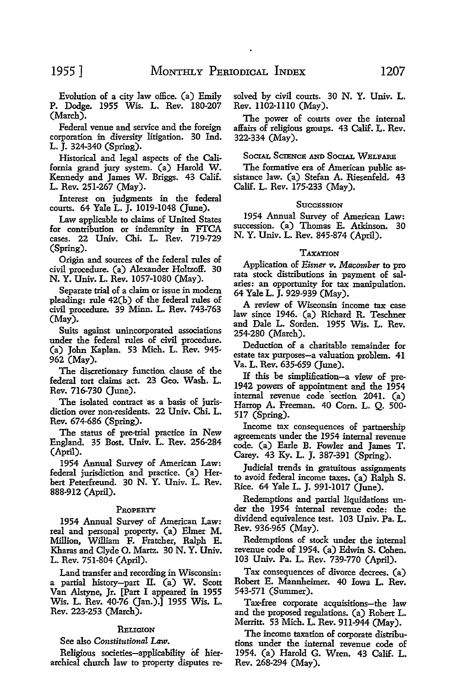Evolution of a city law office. (a) Emily P. Dodge. 1955 Wis. L. Rev. 180-207 (March).

Federal venue and service and the foreign corporation in diversity litigation. 30 Ind. L. J. 324-340 (Spring).

Historical and legal aspects of the California grand jury system. (a) Harold W. Kennedy and James W. Briggs. 43 Calif. L. Rev. 251-267 (May).

Interest on judgments in the federal courts. 64 Yale L. J. 1019-1048 (June).

Law applicable to claims of United States for contribution or indemnity in FTCA cases. 22 Univ. Chi. L. Rev. 719-729 (Spring).

Origin and sources of the federal rules of civil procedure. (a) Alexander HoltzofF. 30 N. Y. Univ. L. Rev. 1057-1080 (May).

Separate trial of a claim or issue in modem pleading: rule 42(b) of the federal rules of civil procedure. 39 Minn. L. Rev. 743-763 (May).

Suits against unincorporated associations under the federal rules of civil procedure. (a) John Kaplan. 53 Mich. L. Rev. 945- 962 (May).

The discretionary function clause of the federal tort claims act. 23 Geo. Wash. L. Rev. 716-730 (June).

The isolated contract as a basis of jurisdiction over non-residents. 22 Univ. Chi. L. Rev. 674-686 (Spring).

The status of pre-trial practice in New England. 35 Bost. Univ. L. Rev. 256-284 (April).

1954 Annual Survey of American Law: federal jurisdiction and practice. (a) Herbert Peterfreund. 30 N. Y. Univ. L. Rev. 888-912 (April).

#### PROPERTY

1954 Annual Survey of American Law: real and personal property. (a) Elmer **M.**  Million, William F. Pratcher, Ralph E. Kharas and Clyde 0. Martz. 30 N. Y. Univ. L. Rev. 751-804 (April).

Land transfer and recording in Wisconsin: a partial history-part II. (a) W. Scott Van Alstyne, Jr. [Part I appeared in 1955 Wis. L. Rev. 40-76 (Jan.).] 1955 Wis. L. Rev. 223-253 (March).

### RELIGION

#### See also *Constitutional Law.*

Religious societies-applicability of hierarchical church law to property disputes re-

solved by civil courts. 30 N. Y. Univ. L. Rev. 1102-1110 (May).

The power of courts over the internal affairs of religious groups. 43 Calif. L. Rev. 322-334 (May).

# SOCIAL SCIENCE AND SOCIAL WELFARE

The formative era of American public assistance law. (a) Stefan A. Riesenfeld.- 43 Calif. L. Rev. 175-233 (May).

#### **Succession**

1954 Annual Survey of American Law: succession. (a) Thomas E. Atkinson. 30 N. Y. Univ. L. Rev. 845-874 (April).

#### TAXATION

Application of *Eisner* v. *Macomber* to pro rata stock distributions in payment of salaries: an opportunity for tax manipulation. 64 Yale L. J. 929-939 (May).

A review of Wisconsin income tax case law since 1946. (a) Richard R. Teschner and Dale L. Sorden. 1955 Wis. L. Rev. 254-280 (March).

Deduction of a charitable remainder for estate tax purposes-a valuation problem. 41 Va. L. Rev. 635-659 (June).

If this be simplification-a view of pre-1942 powers of appointment and the 1954 internal revenue code 'section 2041. (a) Harrop A. Freeman. 40 Corn. L. Q. 500- 517 (Spring).

Income tax consequences of partnership agreements under the 1954 internal revenue code. (a) Earle B. Fowler and James T. Carey. 43 Ky. L. J. 387-391 (Spring).

Judicial trends in gratuitous assignments to avoid federal income taxes. (a) Ralph S. Rice. 64 Yale L. J. 991-1017 (June).

Redemptions and partial liquidations under the 1954 internal revenue code: the dividend equivalence test. 103 Univ. Pa. L. Rev. 936-965 (May).

Redemptions of stock under the internal revenue code of 1954. (a) Edwin S. Cohen. 103 Univ. Pa. L. Rev. 739-770 (April).

Tax consequences of divorce decrees. (a) Robert E. Mannheimer. 40 Iowa L. Rev. 543-571 (Summer).

Tax-free corporate acquisitions-the law and the proposed regulations. (a) Robert L. Merritt. 53 Mich. L. Rev. 911-944 (May).

The income taxation of corporate distributions under the internal revenue code of 1954. (a) Harold G. Wren. 43 Calif. L. Rev. 268-294 (May).